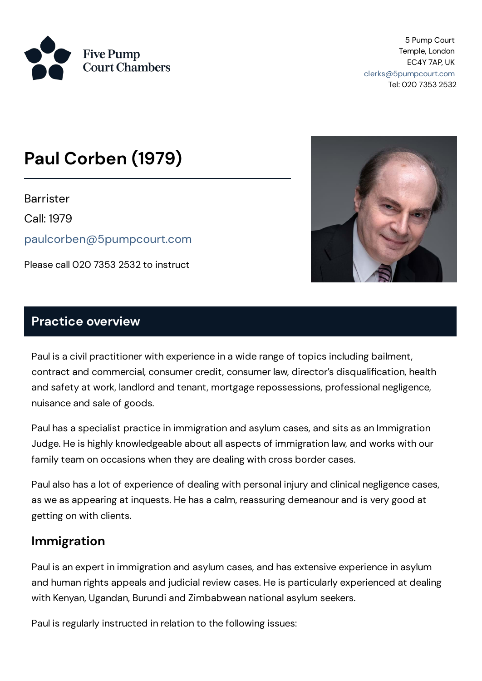

5 Pump Court Temple, London EC4Y 7AP, UK [clerks@5pumpcourt.com](mailto:clerks@5pumpcourt.com) Tel: 020 7353 2532

# **Paul Corben (1979)**

**Barrister** 

Call: 1979

[paulcorben@5pumpcourt.com](mailto:paulcorben@5pumpcourt.com)

Please call 020 7353 2532 to instruct



#### **Practice overview**

Paul is a civil practitioner with experience in a wide range of topics including bailment, contract and commercial, consumer credit, consumer law, director's disqualification, health and safety at work, landlord and tenant, mortgage repossessions, professional negligence, nuisance and sale of goods.

Paul has a specialist practice in immigration and asylum cases, and sits as an Immigration Judge. He is highly knowledgeable about all aspects of immigration law, and works with our family team on occasions when they are dealing with cross border cases.

Paul also has a lot of experience of dealing with personal injury and clinical negligence cases, as we as appearing at inquests. He has a calm, reassuring demeanour and is very good at getting on with clients.

## **Immigration**

Paul is an expert in immigration and asylum cases, and has extensive experience in asylum and human rights appeals and judicial review cases. He is particularly experienced at dealing with Kenyan, Ugandan, Burundi and Zimbabwean national asylum seekers.

Paul is regularly instructed in relation to the following issues: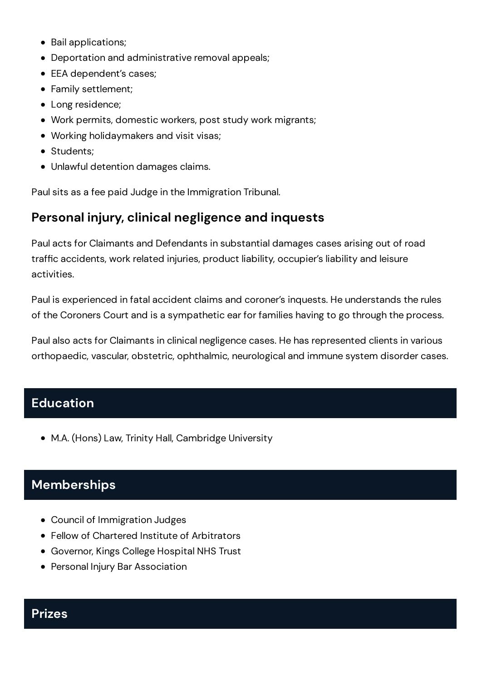- Bail applications;
- Deportation and administrative removal appeals;
- EEA dependent's cases;
- Family settlement;
- Long residence;
- Work permits, domestic workers, post study work migrants;
- Working holidaymakers and visit visas;
- Students:
- Unlawful detention damages claims.

Paulsits as a fee paid Judge in the Immigration Tribunal.

## **Personal injury, clinical negligence and inquests**

Paul acts for Claimants and Defendants in substantial damages cases arising out of road traffic accidents, work related injuries, product liability, occupier's liability and leisure activities.

Paul is experienced in fatal accident claims and coroner's inquests. He understands the rules of the Coroners Court and is a sympathetic ear for families having to go through the process.

Paul also acts for Claimants in clinical negligence cases. He has represented clients in various orthopaedic, vascular, obstetric, ophthalmic, neurological and immune system disorder cases.

## **Education**

M.A. (Hons) Law, Trinity Hall, Cambridge University

# **Memberships**

- Council of Immigration Judges
- Fellow of Chartered Institute of Arbitrators
- Governor, Kings College Hospital NHS Trust
- **Personal Injury Bar Association**

#### **Prizes**